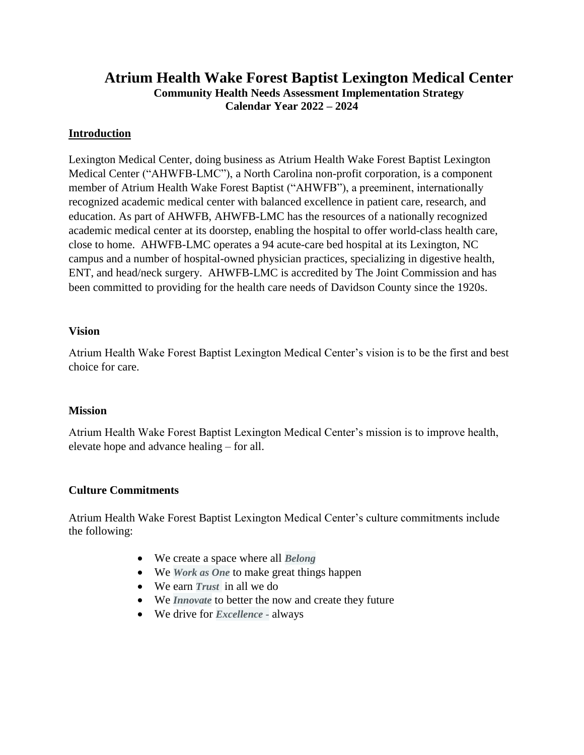# **Atrium Health Wake Forest Baptist Lexington Medical Center Community Health Needs Assessment Implementation Strategy Calendar Year 2022 – 2024**

#### **Introduction**

Lexington Medical Center, doing business as Atrium Health Wake Forest Baptist Lexington Medical Center ("AHWFB-LMC"), a North Carolina non-profit corporation, is a component member of Atrium Health Wake Forest Baptist ("AHWFB"), a preeminent, internationally recognized academic medical center with balanced excellence in patient care, research, and education. As part of AHWFB, AHWFB-LMC has the resources of a nationally recognized academic medical center at its doorstep, enabling the hospital to offer world-class health care, close to home. AHWFB-LMC operates a 94 acute-care bed hospital at its Lexington, NC campus and a number of hospital-owned physician practices, specializing in digestive health, ENT, and head/neck surgery. AHWFB-LMC is accredited by The Joint Commission and has been committed to providing for the health care needs of Davidson County since the 1920s.

#### **Vision**

Atrium Health Wake Forest Baptist Lexington Medical Center's vision is to be the first and best choice for care.

#### **Mission**

Atrium Health Wake Forest Baptist Lexington Medical Center's mission is to improve health, elevate hope and advance healing – for all.

#### **Culture Commitments**

Atrium Health Wake Forest Baptist Lexington Medical Center's culture commitments include the following:

- We create a space where all *Belong*
- We *Work as One* to make great things happen
- We earn *Trust* in all we do
- We *Innovate* to better the now and create they future
- We drive for *Excellence -* always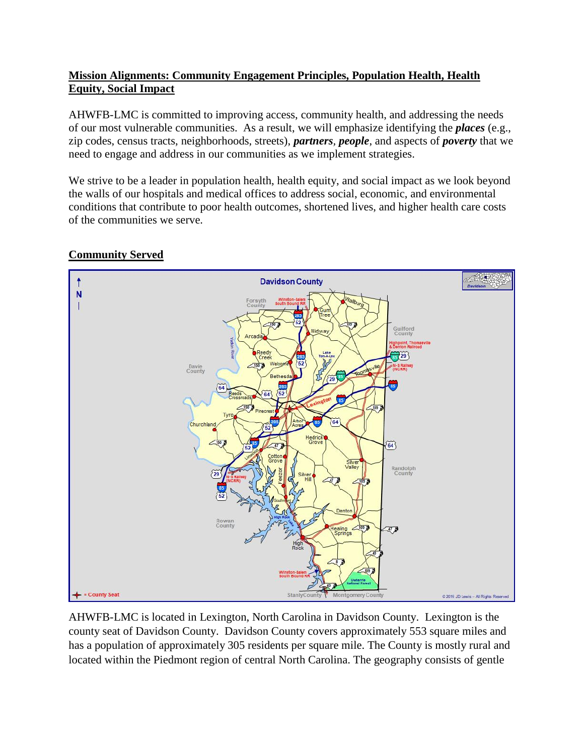# **Mission Alignments: Community Engagement Principles, Population Health, Health Equity, Social Impact**

AHWFB-LMC is committed to improving access, community health, and addressing the needs of our most vulnerable communities. As a result, we will emphasize identifying the *places* (e.g., zip codes, census tracts, neighborhoods, streets), *partners, people*, and aspects of *poverty* that we need to engage and address in our communities as we implement strategies.

We strive to be a leader in population health, health equity, and social impact as we look beyond the walls of our hospitals and medical offices to address social, economic, and environmental conditions that contribute to poor health outcomes, shortened lives, and higher health care costs of the communities we serve.

# **Community Served**



AHWFB-LMC is located in Lexington, North Carolina in Davidson County. Lexington is the county seat of Davidson County. Davidson County covers approximately 553 square miles and has a population of approximately 305 residents per square mile. The County is mostly rural and located within the Piedmont region of central North Carolina. The geography consists of gentle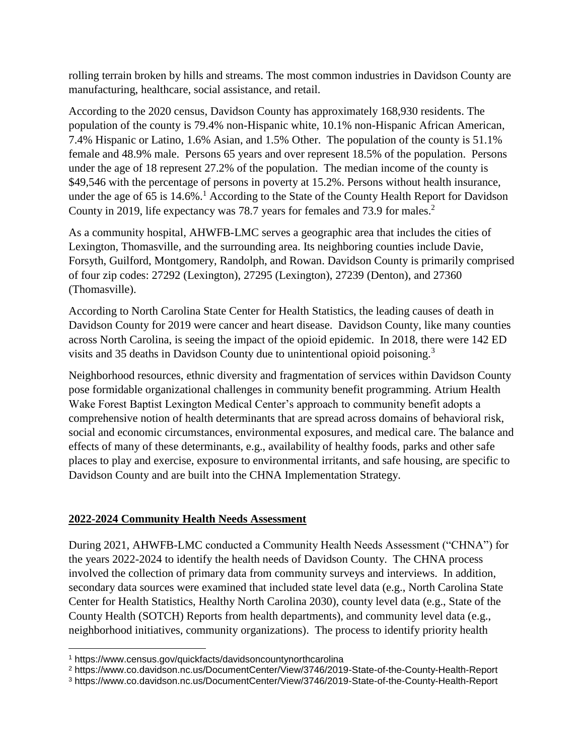rolling terrain broken by hills and streams. The most common industries in Davidson County are manufacturing, healthcare, social assistance, and retail.

According to the 2020 census, Davidson County has approximately 168,930 residents. The population of the county is 79.4% non-Hispanic white, 10.1% non-Hispanic African American, 7.4% Hispanic or Latino, 1.6% Asian, and 1.5% Other. The population of the county is 51.1% female and 48.9% male. Persons 65 years and over represent 18.5% of the population. Persons under the age of 18 represent 27.2% of the population. The median income of the county is \$49,546 with the percentage of persons in poverty at 15.2%. Persons without health insurance, under the age of 65 is  $14.6\%$ .<sup>1</sup> According to the State of the County Health Report for Davidson County in 2019, life expectancy was 78.7 years for females and 73.9 for males.<sup>2</sup>

As a community hospital, AHWFB-LMC serves a geographic area that includes the cities of Lexington, Thomasville, and the surrounding area. Its neighboring counties include Davie, Forsyth, Guilford, Montgomery, Randolph, and Rowan. Davidson County is primarily comprised of four zip codes: 27292 (Lexington), 27295 (Lexington), 27239 (Denton), and 27360 (Thomasville).

According to North Carolina State Center for Health Statistics, the leading causes of death in Davidson County for 2019 were cancer and heart disease. Davidson County, like many counties across North Carolina, is seeing the impact of the opioid epidemic. In 2018, there were 142 ED visits and 35 deaths in Davidson County due to unintentional opioid poisoning.<sup>3</sup>

Neighborhood resources, ethnic diversity and fragmentation of services within Davidson County pose formidable organizational challenges in community benefit programming. Atrium Health Wake Forest Baptist Lexington Medical Center's approach to community benefit adopts a comprehensive notion of health determinants that are spread across domains of behavioral risk, social and economic circumstances, environmental exposures, and medical care. The balance and effects of many of these determinants, e.g., availability of healthy foods, parks and other safe places to play and exercise, exposure to environmental irritants, and safe housing, are specific to Davidson County and are built into the CHNA Implementation Strategy.

#### **2022-2024 Community Health Needs Assessment**

During 2021, AHWFB-LMC conducted a Community Health Needs Assessment ("CHNA") for the years 2022-2024 to identify the health needs of Davidson County. The CHNA process involved the collection of primary data from community surveys and interviews. In addition, secondary data sources were examined that included state level data (e.g., North Carolina State Center for Health Statistics, Healthy North Carolina 2030), county level data (e.g., State of the County Health (SOTCH) Reports from health departments), and community level data (e.g., neighborhood initiatives, community organizations). The process to identify priority health

 $\overline{\phantom{a}}$ 

<sup>1</sup> https://www.census.gov/quickfacts/davidsoncountynorthcarolina

<sup>2</sup> https://www.co.davidson.nc.us/DocumentCenter/View/3746/2019-State-of-the-County-Health-Report

<sup>3</sup> https://www.co.davidson.nc.us/DocumentCenter/View/3746/2019-State-of-the-County-Health-Report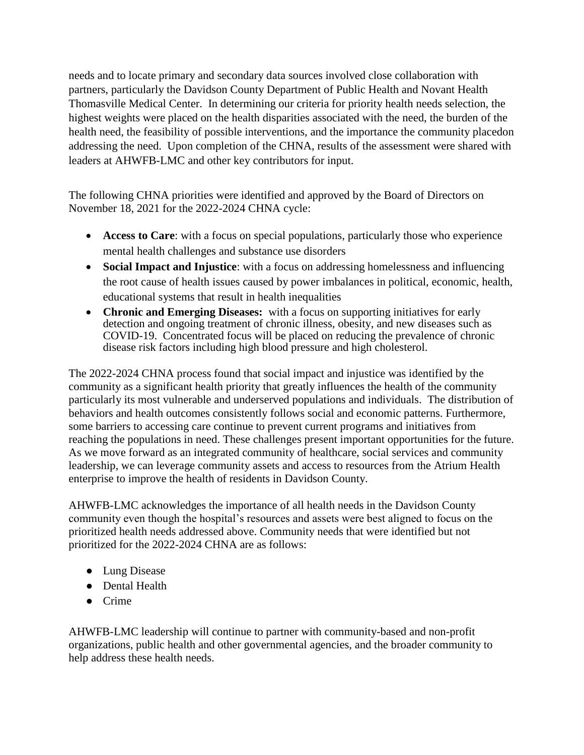needs and to locate primary and secondary data sources involved close collaboration with partners, particularly the Davidson County Department of Public Health and Novant Health Thomasville Medical Center. In determining our criteria for priority health needs selection, the highest weights were placed on the health disparities associated with the need, the burden of the health need, the feasibility of possible interventions, and the importance the community placedon addressing the need. Upon completion of the CHNA, results of the assessment were shared with leaders at AHWFB-LMC and other key contributors for input.

The following CHNA priorities were identified and approved by the Board of Directors on November 18, 2021 for the 2022-2024 CHNA cycle:

- **Access to Care**: with a focus on special populations, particularly those who experience mental health challenges and substance use disorders
- **Social Impact and Injustice**: with a focus on addressing homelessness and influencing the root cause of health issues caused by power imbalances in political, economic, health, educational systems that result in health inequalities
- **Chronic and Emerging Diseases:** with a focus on supporting initiatives for early detection and ongoing treatment of chronic illness, obesity, and new diseases such as COVID-19. Concentrated focus will be placed on reducing the prevalence of chronic disease risk factors including high blood pressure and high cholesterol.

The 2022-2024 CHNA process found that social impact and injustice was identified by the community as a significant health priority that greatly influences the health of the community particularly its most vulnerable and underserved populations and individuals. The distribution of behaviors and health outcomes consistently follows social and economic patterns. Furthermore, some barriers to accessing care continue to prevent current programs and initiatives from reaching the populations in need. These challenges present important opportunities for the future. As we move forward as an integrated community of healthcare, social services and community leadership, we can leverage community assets and access to resources from the Atrium Health enterprise to improve the health of residents in Davidson County.

AHWFB-LMC acknowledges the importance of all health needs in the Davidson County community even though the hospital's resources and assets were best aligned to focus on the prioritized health needs addressed above. Community needs that were identified but not prioritized for the 2022-2024 CHNA are as follows:

- Lung Disease
- Dental Health
- Crime

AHWFB-LMC leadership will continue to partner with community-based and non-profit organizations, public health and other governmental agencies, and the broader community to help address these health needs.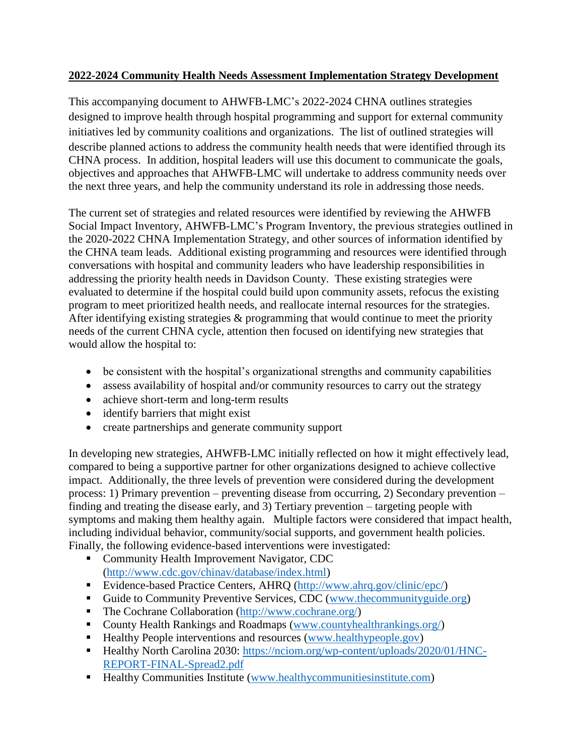#### **2022-2024 Community Health Needs Assessment Implementation Strategy Development**

This accompanying document to AHWFB-LMC's 2022-2024 CHNA outlines strategies designed to improve health through hospital programming and support for external community initiatives led by community coalitions and organizations. The list of outlined strategies will describe planned actions to address the community health needs that were identified through its CHNA process. In addition, hospital leaders will use this document to communicate the goals, objectives and approaches that AHWFB-LMC will undertake to address community needs over the next three years, and help the community understand its role in addressing those needs.

The current set of strategies and related resources were identified by reviewing the AHWFB Social Impact Inventory, AHWFB-LMC's Program Inventory, the previous strategies outlined in the 2020-2022 CHNA Implementation Strategy, and other sources of information identified by the CHNA team leads. Additional existing programming and resources were identified through conversations with hospital and community leaders who have leadership responsibilities in addressing the priority health needs in Davidson County. These existing strategies were evaluated to determine if the hospital could build upon community assets, refocus the existing program to meet prioritized health needs, and reallocate internal resources for the strategies. After identifying existing strategies & programming that would continue to meet the priority needs of the current CHNA cycle, attention then focused on identifying new strategies that would allow the hospital to:

- be consistent with the hospital's organizational strengths and community capabilities
- assess availability of hospital and/or community resources to carry out the strategy
- achieve short-term and long-term results
- identify barriers that might exist
- create partnerships and generate community support

In developing new strategies, AHWFB-LMC initially reflected on how it might effectively lead, compared to being a supportive partner for other organizations designed to achieve collective impact. Additionally, the three levels of prevention were considered during the development process: 1) Primary prevention – preventing disease from occurring, 2) Secondary prevention – finding and treating the disease early, and 3) Tertiary prevention – targeting people with symptoms and making them healthy again. Multiple factors were considered that impact health, including individual behavior, community/social supports, and government health policies. Finally, the following evidence-based interventions were investigated:

- Community Health Improvement Navigator, CDC [\(http://www.cdc.gov/chinav/database/index.html\)](http://www.cdc.gov/chinav/database/index.html)
- Evidence-based Practice Centers, AHRQ [\(http://www.ahrq.gov/clinic/epc/\)](http://www.ahrq.gov/clinic/epc/)
- Guide to Community Preventive Services, CDC [\(www.thecommunityguide.org\)](http://www.thecommunityguide.org/)
- The Cochrane Collaboration [\(http://www.cochrane.org/\)](http://www.cochrane.org/)
- County Health Rankings and Roadmaps [\(www.countyhealthrankings.org/\)](http://www.countyhealthrankings.org/)
- Healthy People interventions and resources [\(www.healthypeople.gov\)](http://www.healthypeople.gov/)
- Healthy North Carolina 2030: [https://nciom.org/wp-content/uploads/2020/01/HNC-](https://nciom.org/wp-content/uploads/2020/01/HNC-REPORT-FINAL-Spread2.pdf)[REPORT-FINAL-Spread2.pdf](https://nciom.org/wp-content/uploads/2020/01/HNC-REPORT-FINAL-Spread2.pdf)
- Healthy Communities Institute [\(www.healthycommunitiesinstitute.com\)](http://www.healthycommunitiesinstitute.com/)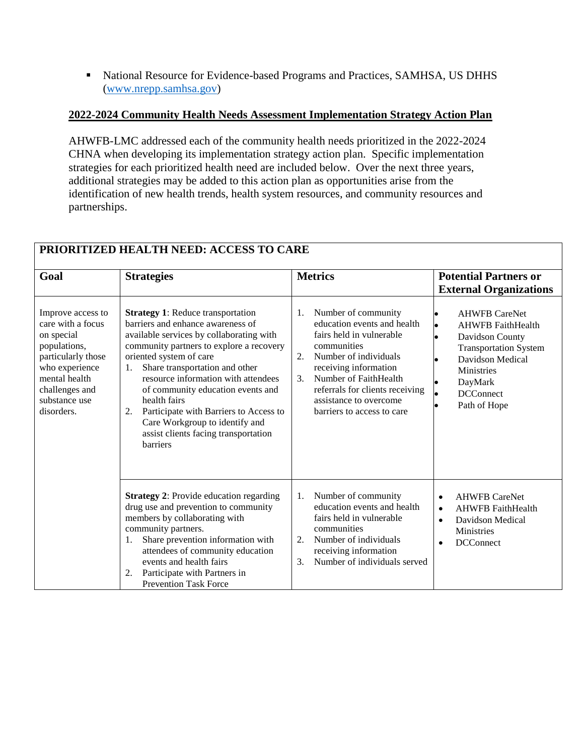• National Resource for Evidence-based Programs and Practices, SAMHSA, US DHHS [\(www.nrepp.samhsa.gov\)](http://www.nrepp.samhsa.gov/)

#### **2022-2024 Community Health Needs Assessment Implementation Strategy Action Plan**

AHWFB-LMC addressed each of the community health needs prioritized in the 2022-2024 CHNA when developing its implementation strategy action plan. Specific implementation strategies for each prioritized health need are included below. Over the next three years, additional strategies may be added to this action plan as opportunities arise from the identification of new health trends, health system resources, and community resources and partnerships.

| Goal                                                                                                                                                                           | <b>Strategies</b>                                                                                                                                                                                                                                                                                                                                                                                                                                                                 | <b>Metrics</b>                                                                                                                                                                                                                                                                                    | <b>Potential Partners or</b><br><b>External Organizations</b>                                                                                                                                            |
|--------------------------------------------------------------------------------------------------------------------------------------------------------------------------------|-----------------------------------------------------------------------------------------------------------------------------------------------------------------------------------------------------------------------------------------------------------------------------------------------------------------------------------------------------------------------------------------------------------------------------------------------------------------------------------|---------------------------------------------------------------------------------------------------------------------------------------------------------------------------------------------------------------------------------------------------------------------------------------------------|----------------------------------------------------------------------------------------------------------------------------------------------------------------------------------------------------------|
| Improve access to<br>care with a focus<br>on special<br>populations,<br>particularly those<br>who experience<br>mental health<br>challenges and<br>substance use<br>disorders. | <b>Strategy 1:</b> Reduce transportation<br>barriers and enhance awareness of<br>available services by collaborating with<br>community partners to explore a recovery<br>oriented system of care<br>Share transportation and other<br>1.<br>resource information with attendees<br>of community education events and<br>health fairs<br>Participate with Barriers to Access to<br>2.<br>Care Workgroup to identify and<br>assist clients facing transportation<br><b>barriers</b> | Number of community<br>1.<br>education events and health<br>fairs held in vulnerable<br>communities<br>Number of individuals<br>2.<br>receiving information<br>Number of FaithHealth<br>3 <sub>1</sub><br>referrals for clients receiving<br>assistance to overcome<br>barriers to access to care | <b>AHWFB CareNet</b><br><b>AHWFB FaithHealth</b><br>$\bullet$<br>Davidson County<br><b>Transportation System</b><br>Davidson Medical<br><b>Ministries</b><br>DayMark<br><b>DCConnect</b><br>Path of Hope |
|                                                                                                                                                                                | <b>Strategy 2: Provide education regarding</b><br>drug use and prevention to community<br>members by collaborating with<br>community partners.<br>Share prevention information with<br>1.<br>attendees of community education<br>events and health fairs<br>Participate with Partners in<br>2.<br><b>Prevention Task Force</b>                                                                                                                                                    | Number of community<br>1.<br>education events and health<br>fairs held in vulnerable<br>communities<br>Number of individuals<br>2.<br>receiving information<br>$\mathcal{F}$<br>Number of individuals served                                                                                      | <b>AHWFB CareNet</b><br>$\bullet$<br><b>AHWFB</b> FaithHealth<br>$\bullet$<br>Davidson Medical<br>$\bullet$<br><b>Ministries</b><br><b>DCConnect</b><br>$\bullet$                                        |

# **PRIORITIZED HEALTH NEED: ACCESS TO CARE**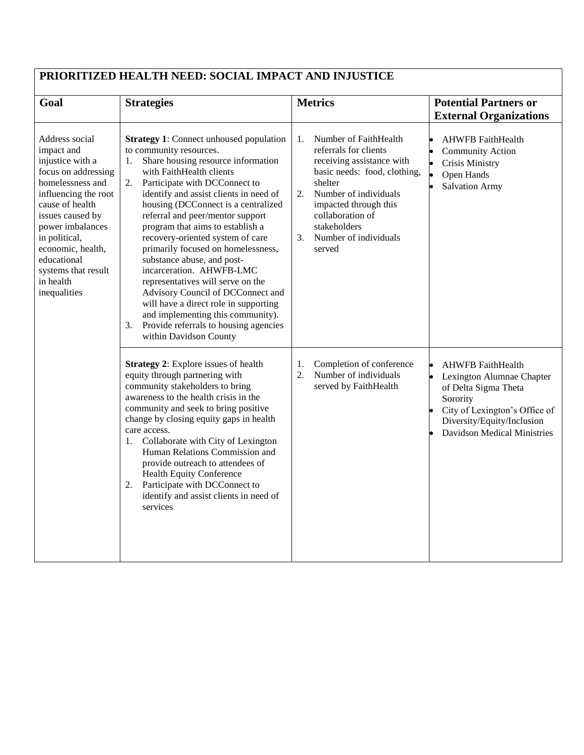| PRIORITIZED HEALTH NEED: SOCIAL IMPACT AND INJUSTICE                                                                                                                                                                                                                                    |                                                                                                                                                                                                                                                                                                                                                                                                                                                                                                                                                                                                                                                                                                                        |                                                                                                                                                                                                                                                                   |                                                                                                                                                                                                |  |  |  |
|-----------------------------------------------------------------------------------------------------------------------------------------------------------------------------------------------------------------------------------------------------------------------------------------|------------------------------------------------------------------------------------------------------------------------------------------------------------------------------------------------------------------------------------------------------------------------------------------------------------------------------------------------------------------------------------------------------------------------------------------------------------------------------------------------------------------------------------------------------------------------------------------------------------------------------------------------------------------------------------------------------------------------|-------------------------------------------------------------------------------------------------------------------------------------------------------------------------------------------------------------------------------------------------------------------|------------------------------------------------------------------------------------------------------------------------------------------------------------------------------------------------|--|--|--|
| Goal                                                                                                                                                                                                                                                                                    | <b>Strategies</b>                                                                                                                                                                                                                                                                                                                                                                                                                                                                                                                                                                                                                                                                                                      | <b>Metrics</b>                                                                                                                                                                                                                                                    | <b>Potential Partners or</b><br><b>External Organizations</b>                                                                                                                                  |  |  |  |
| Address social<br>impact and<br>injustice with a<br>focus on addressing<br>homelessness and<br>influencing the root<br>cause of health<br>issues caused by<br>power imbalances<br>in political,<br>economic, health,<br>educational<br>systems that result<br>in health<br>inequalities | <b>Strategy 1:</b> Connect unhoused population<br>to community resources.<br>Share housing resource information<br>1.<br>with FaithHealth clients<br>2.<br>Participate with DCConnect to<br>identify and assist clients in need of<br>housing (DCConnect is a centralized<br>referral and peer/mentor support<br>program that aims to establish a<br>recovery-oriented system of care<br>primarily focused on homelessness,<br>substance abuse, and post-<br>incarceration. AHWFB-LMC<br>representatives will serve on the<br>Advisory Council of DCConnect and<br>will have a direct role in supporting<br>and implementing this community).<br>Provide referrals to housing agencies<br>3.<br>within Davidson County | Number of FaithHealth<br>1.<br>referrals for clients<br>receiving assistance with<br>basic needs: food, clothing,<br>shelter<br>2.<br>Number of individuals<br>impacted through this<br>collaboration of<br>stakeholders<br>3.<br>Number of individuals<br>served | <b>AHWFB</b> FaithHealth<br><b>Community Action</b><br><b>Crisis Ministry</b><br>Open Hands<br><b>Salvation Army</b>                                                                           |  |  |  |
|                                                                                                                                                                                                                                                                                         | <b>Strategy 2:</b> Explore issues of health<br>equity through partnering with<br>community stakeholders to bring<br>awareness to the health crisis in the<br>community and seek to bring positive<br>change by closing equity gaps in health<br>care access.<br>1. Collaborate with City of Lexington<br>Human Relations Commission and<br>provide outreach to attendees of<br><b>Health Equity Conference</b><br>2. Participate with DCConnect to<br>identify and assist clients in need of<br>services                                                                                                                                                                                                               | Completion of conference<br>1.<br>2.<br>Number of individuals<br>served by FaithHealth                                                                                                                                                                            | <b>AHWFB</b> FaithHealth<br>Lexington Alumnae Chapter<br>of Delta Sigma Theta<br>Sorority<br>City of Lexington's Office of<br>Diversity/Equity/Inclusion<br><b>Davidson Medical Ministries</b> |  |  |  |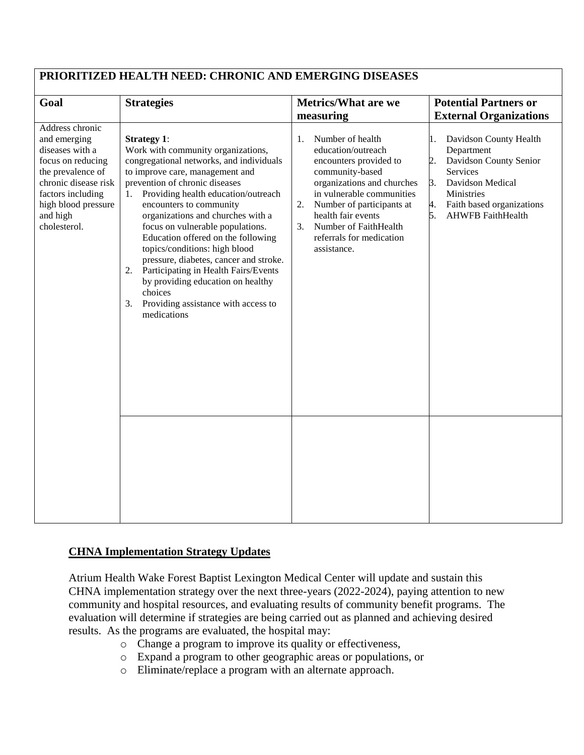| PRIORITIZED HEALTH NEED: CHRONIC AND EMERGING DISEASES                                                                                                                                       |                                                                                                                                                                                                                                                                                                                                                                                                                                                                                                                                                                                                       |                                                                                                                                                                                                                                                                                         |                                                                                                                                                                                                            |  |  |  |
|----------------------------------------------------------------------------------------------------------------------------------------------------------------------------------------------|-------------------------------------------------------------------------------------------------------------------------------------------------------------------------------------------------------------------------------------------------------------------------------------------------------------------------------------------------------------------------------------------------------------------------------------------------------------------------------------------------------------------------------------------------------------------------------------------------------|-----------------------------------------------------------------------------------------------------------------------------------------------------------------------------------------------------------------------------------------------------------------------------------------|------------------------------------------------------------------------------------------------------------------------------------------------------------------------------------------------------------|--|--|--|
| Goal                                                                                                                                                                                         | <b>Strategies</b>                                                                                                                                                                                                                                                                                                                                                                                                                                                                                                                                                                                     | <b>Metrics/What are we</b><br>measuring                                                                                                                                                                                                                                                 | <b>Potential Partners or</b><br><b>External Organizations</b>                                                                                                                                              |  |  |  |
| Address chronic<br>and emerging<br>diseases with a<br>focus on reducing<br>the prevalence of<br>chronic disease risk<br>factors including<br>high blood pressure<br>and high<br>cholesterol. | <b>Strategy 1:</b><br>Work with community organizations,<br>congregational networks, and individuals<br>to improve care, management and<br>prevention of chronic diseases<br>Providing health education/outreach<br>1.<br>encounters to community<br>organizations and churches with a<br>focus on vulnerable populations.<br>Education offered on the following<br>topics/conditions: high blood<br>pressure, diabetes, cancer and stroke.<br>Participating in Health Fairs/Events<br>2.<br>by providing education on healthy<br>choices<br>Providing assistance with access to<br>3.<br>medications | Number of health<br>1.<br>education/outreach<br>encounters provided to<br>community-based<br>organizations and churches<br>in vulnerable communities<br>Number of participants at<br>2.<br>health fair events<br>Number of FaithHealth<br>3.<br>referrals for medication<br>assistance. | Davidson County Health<br>l.<br>Department<br>Davidson County Senior<br>2.<br><b>Services</b><br>Davidson Medical<br>3.<br>Ministries<br>4.<br>Faith based organizations<br><b>AHWFB FaithHealth</b><br>5. |  |  |  |
|                                                                                                                                                                                              |                                                                                                                                                                                                                                                                                                                                                                                                                                                                                                                                                                                                       |                                                                                                                                                                                                                                                                                         |                                                                                                                                                                                                            |  |  |  |

# **PRIORITIZED HEALTH NEED: CHRONIC AND EMERGING DISEASES**

#### **CHNA Implementation Strategy Updates**

Atrium Health Wake Forest Baptist Lexington Medical Center will update and sustain this CHNA implementation strategy over the next three-years (2022-2024), paying attention to new community and hospital resources, and evaluating results of community benefit programs. The evaluation will determine if strategies are being carried out as planned and achieving desired results. As the programs are evaluated, the hospital may:

- o Change a program to improve its quality or effectiveness,
- o Expand a program to other geographic areas or populations, or
- o Eliminate/replace a program with an alternate approach.